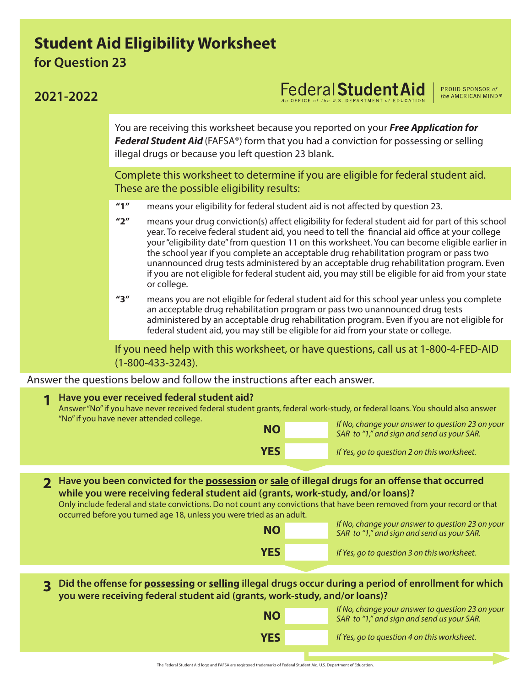## **Student Aid Eligibility Worksheet**

**for Question 23**

## **Federal Student Aid 2021-2022** the AMERICAN MIND® You are receiving this worksheet because you reported on your *Free Application for Federal Student Aid* (FAFSA®) form that you had a conviction for possessing or selling illegal drugs or because you left question 23 blank. Complete this worksheet to determine if you are eligible for federal student aid. These are the possible eligibility results: **"1"** means your eligibility for federal student aid is not affected by question 23. **"2"** means your drug conviction(s) affect eligibility for federal student aid for part of this school year. To receive federal student aid, you need to tell the financial aid office at your college your "eligibility date" from question 11 on this worksheet. You can become eligible earlier in the school year if you complete an acceptable drug rehabilitation program or pass two unannounced drug tests administered by an acceptable drug rehabilitation program. Even if you are not eligible for federal student aid, you may still be eligible for aid from your state or college. **"3"** means you are not eligible for federal student aid for this school year unless you complete an acceptable drug rehabilitation program or pass two unannounced drug tests administered by an acceptable drug rehabilitation program. Even if you are not eligible for federal student aid, you may still be eligible for aid from your state or college. If you need help with this worksheet, or have questions, call us at 1-800-4-FED-AID (1-800-433-3243). Answer the questions below and follow the instructions after each answer. **1 Have you ever received federal student aid?**  Answer "No" if you have never received federal student grants, federal work-study, or federal loans. You should also answer "No" if you have never attended college. *If No, change your answer to question 23 on your* **NO** *SAR to "1," and sign and send us your SAR.* **YES** *If Yes, go to question 2 on this worksheet.* **Have you been convicted for the possession or sale of illegal drugs for an offense that occurred 2 while you were receiving federal student aid (grants, work-study, and/or loans)?**  Only include federal and state convictions. Do not count any convictions that have been removed from your record or that occurred before you turned age 18, unless you were tried as an adult. **IF No, change your answer to question 23 on your SAR to "1," and sign and send us your SAR. YES** *If Yes, go to question 3 on this worksheet.* **Did the offense for possessing or selling illegal drugs occur during a period of enrollment for which you were receiving federal student aid (grants, work-study, and/or loans)? 3** *If No, change your answer to question 23 on your* **NO** *SAR to "1," and sign and send us your SAR.* **YES** *If Yes, go to question 4 on this worksheet.*

PROUD SPONSOR of

## The Federal Student Aid logo and FAFSA are registered trademarks of Federal Student Aid, U.S. Department of Education.